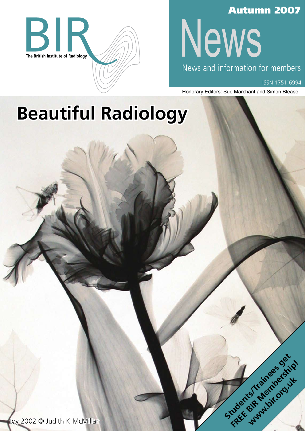

### Autumn 2007

News

News and information for members

ISSN 1751-6994

Honorary Editors: Sue Marchant and Simon Blease

Students/Trainees get

# **Beautiful Radiology**

Joy 2002 © Judith K McMillan **FREE BIR McMillan Contract of American** Street And Membership!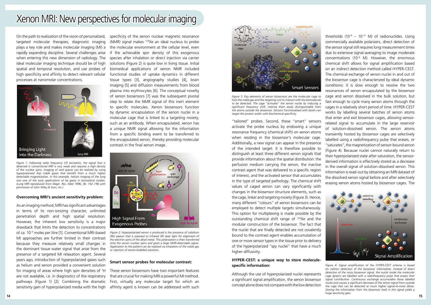### Xenon MRI: New perspectives for molecular imaging

On the path to realization of the vision of personalized, targeted molecular therapies, diagnostic imaging plays a key role and makes molecular imaging (MI) a rapidly expanding discipline. Several challenges arise when entering this new dimension of radiology. The ideal molecular imaging technique should be of high spatial and temporal resolution, and use probes of high specificity and affinity to detect relevant cellular processes at nanomolar concentrations.



#### **Overcoming MRI's ancient sensitivity problem:**

As an imaging method, MRI has significant advantages in terms of its non-ionizing character, unlimited penetration depth and high spatial resolution. However, the inherent low sensitivity is a major drawback that limits the detection to concentrations of ca. 10-4 moles per litre [1]. Conventional MRI-based MI approaches are further limited in their contrast because they measure relatively small changes in the dominant tissue water signal that arise from the presence of a targeted MI relaxation agent. Several years ago, introduction of hyperpolarized gases such as helium and xenon provided a convenient solution for imaging of areas where high spin densities of <sup>1</sup>H are not available, i.e. in diagnostics of the respiratory pathways (Figure 1) [2]. Combining the dramatic sensitivity gain of hyperpolarized media with the high

specificity of the xenon nuclear magnetic resonance (NMR) signal makes  $129$ Xe an ideal nucleus to probe the molecular environment at the cellular level, even if the achievable spin density of this exogenous species after inhalation or direct injection via carrier solutions (Figure 2) is quite low in living tissue. Initial biomedical applications of xenon NMR included functional studies of uptake dynamics in different tissue types [3], angiography studies [4], brain imaging [5] and diffusion measurements from blood plasma into erythrocytes [6]. The conceptual novelty of xenon biosensors [7] was the subsequent pivotal step to relate the NMR signal of this inert element to specific molecules. Xenon biosensors function by dynamic encapsulation of the xenon nuclei in a molecular cage that is linked to a targeting moiety, such as an antibody. When encapsulated, xenon has a unique NMR signal allowing for the information from a specific binding event to be transferred to the encapsulated xenon, thereby providing molecular contrast in the final xenon image.

#### **Smart sensor probes for molecular contrast:**

These xenon biosensors have two important features that are crucial for making MRI a powerful MI method. First, virtually any molecular target for which an affinity agent is known can be addressed with such

thresholds  $(10^{-9} - 10^{-12} \text{ M})$  of radionuclides. Using commercially available polarizers, direct detection of the sensor signal still requires long measurement times due to extensive signal-averaging to image moderate concentrations (10-6 M). However, the enormous chemical shift allows for signal amplification based on an indirect detection method called HYPER-CEST. The chemical exchange of xenon nuclei in and out of the biosensor cage is characterized by ideal dynamic conditions: it is slow enough to resolve the two resonances of xenon encapsulated by the biosensor cage and xenon dissolved in the bulk solution, but fast enough to cycle many xenon atoms through the cages in a relatively short period of time. HYPER-CEST works by labelling several batches of xenon atoms that enter and exit biosensor cages, allowing sensorrelated signal to accumulate in the large reservoir of solution-dissolved xenon. The xenon atoms transiently hosted by biosensor cages are selectively labelled using a radiofrequency pulse that erases, or "saturates", the magnetization of sensor-bound xenon (Figure 4). Because nuclei cannot naturally return to their hyperpolarized state after saturation, the sensorderived information is effectively stored as a decrease in the overall signal of solution-dissolved xenon. This information is read-out by obtaining an MRI dataset of the dissolved xenon signal before and after selectively erasing xenon atoms hosted by biosensor cages. The

"tailored" probes. Second, these "smart" sensors activate the probe nucleus by endowing a unique resonance frequency (chemical shift) on xenon atoms when residing in the biosensor's molecular cage. Additionally, a new signal can appear in the presence of the intended target. It is therefore possible to distinguish at least three different xenon signals that provide information about the spatial distribution: the perfusion medium carrying the xenon, the inactive contrast agent that was delivered to a specific region of interest, and the activated sensor that accumulates in the type of targeted pathology. The chemical shift values of caged xenon can vary significantly with changes in the biosensor structure elements, such as the cage, linker and targeting moiety (Figure 3). Hence, many different "colours" of xenon biosensors can be employed to detect multiple targets simultaneously. This option for multiplexing is made possible by the outstanding chemical shift range of 129Xe and the modular construction of the biosensor. The fact that the nuclei that are finally detected are not covalently bound to the contrast agent enables accumulation of one or more sensor types in the tissue prior to delivery of the hyperpolarized "spy nuclei" that have a much higher diffusivity.

#### **HYPER-CEST: a unique way to store moleculespecific information:**

Although the use of hyperpolarized nuclei represents a significant signal amplification, the xenon biosensor concept alone does not compare with the low detection

*Figure 1: Following radio frequency (rf) excitation, the signal that is detected in conventional MRI is very weak and requires a high density of the nuclear spins. Imaging of void spaces can be realized by using hyperpolarized (hp) noble gases that benefit from a much higher detectable magnetization. In this example, helium imaging of the lung was one of the early applications of hp gases in biomedical studies. (Lung MRI reproduced from Magn. Res. Med 1996; 36: 192–196 with permission of John Wiley & Sons, Inc.)*



*Figure 2: Hyperpolarized xenon is produced is the presence of rubidium (Rb) vapour that is exposed to infrared (IR) laser light for alignment of the electron spins of the alkali metal. This polarization is then transferred onto the xenon nuclear spins and gives a large NMR-detectable signal. Application to the patient can be realized via inhalation of the noble gas or injection of xenon-bubbled solutions.* 



*Figure 3: Key elements of xenon biosensors are the molecular cage to host the noble gas and the targeting unit to interact with the biomolecule to be detected. The cage "activates" the xenon nuclei by inducing a significant frequency shift, making them easily distinguishable from the atoms outside the biosensor. Sensors functionalized with biotin can target the protein avidin with biochemical specificity.* 



*Figure 4: Signal amplification of the HYPER-CEST scheme is based on indirect detection of the biosensor information. Instead of direct detection of the noisy biosensor signal, the nuclei inside the molecular cage (green) are labelled with a radiofrequency pulse that erases their signal contribution. Continuous exchange accumulates these labelled nuclei and causes a significant decrease of the xenon signal from outside the cage that can be detected at much higher signal-to-noise (blue). Storing the information from the biosensor (red) in this signal yields a huge sensitivity gain.*